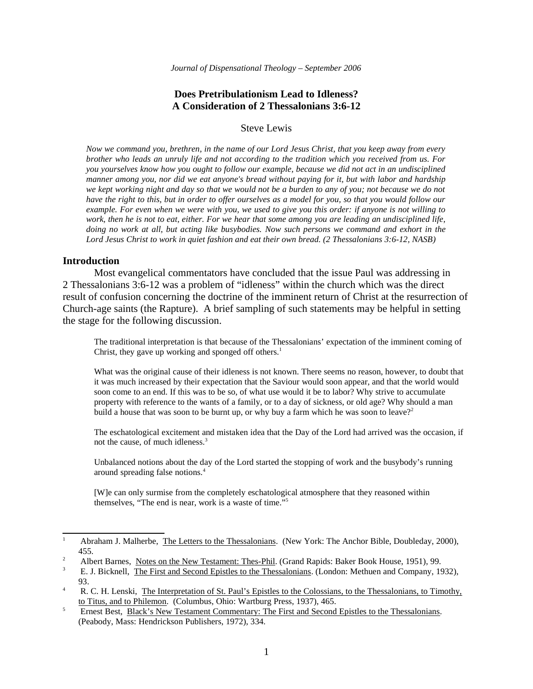# **Does Pretribulationism Lead to Idleness? A Consideration of 2 Thessalonians 3:6-12**

Steve Lewis

*Now we command you, brethren, in the name of our Lord Jesus Christ, that you keep away from every brother who leads an unruly life and not according to the tradition which you received from us. For you yourselves know how you ought to follow our example, because we did not act in an undisciplined manner among you, nor did we eat anyone's bread without paying for it, but with labor and hardship we kept working night and day so that we would not be a burden to any of you; not because we do not have the right to this, but in order to offer ourselves as a model for you, so that you would follow our example. For even when we were with you, we used to give you this order: if anyone is not willing to work, then he is not to eat, either. For we hear that some among you are leading an undisciplined life, doing no work at all, but acting like busybodies. Now such persons we command and exhort in the Lord Jesus Christ to work in quiet fashion and eat their own bread. (2 Thessalonians 3:6-12, NASB)*

### **Introduction**

Most evangelical commentators have concluded that the issue Paul was addressing in 2 Thessalonians 3:6-12 was a problem of "idleness" within the church which was the direct result of confusion concerning the doctrine of the imminent return of Christ at the resurrection of Church-age saints (the Rapture). A brief sampling of such statements may be helpful in setting the stage for the following discussion.

The traditional interpretation is that because of the Thessalonians' expectation of the imminent coming of Christ, they gave up working and sponged off others.<sup>1</sup>

What was the original cause of their idleness is not known. There seems no reason, however, to doubt that it was much increased by their expectation that the Saviour would soon appear, and that the world would soon come to an end. If this was to be so, of what use would it be to labor? Why strive to accumulate property with reference to the wants of a family, or to a day of sickness, or old age? Why should a man build a house that was soon to be burnt up, or why buy a farm which he was soon to leave?<sup>2</sup>

The eschatological excitement and mistaken idea that the Day of the Lord had arrived was the occasion, if not the cause, of much idleness.<sup>3</sup>

Unbalanced notions about the day of the Lord started the stopping of work and the busybody's running around spreading false notions.<sup>4</sup>

[W]e can only surmise from the completely eschatological atmosphere that they reasoned within themselves, "The end is near, work is a waste of time."<sup>5</sup>

<sup>1</sup> Abraham J. Malherbe, The Letters to the Thessalonians. (New York: The Anchor Bible, Doubleday, 2000), 455.

 $\overline{2}$ Albert Barnes, Notes on the New Testament: Thes-Phil. (Grand Rapids: Baker Book House, 1951), 99.

<sup>3</sup> E. J. Bicknell, The First and Second Epistles to the Thessalonians. (London: Methuen and Company, 1932), 93.

<sup>4</sup> R. C. H. Lenski, The Interpretation of St. Paul's Epistles to the Colossians, to the Thessalonians, to Timothy, to Titus, and to Philemon. (Columbus, Ohio: Wartburg Press, 1937), 465.

<sup>5</sup> Ernest Best, Black's New Testament Commentary: The First and Second Epistles to the Thessalonians. (Peabody, Mass: Hendrickson Publishers, 1972), 334.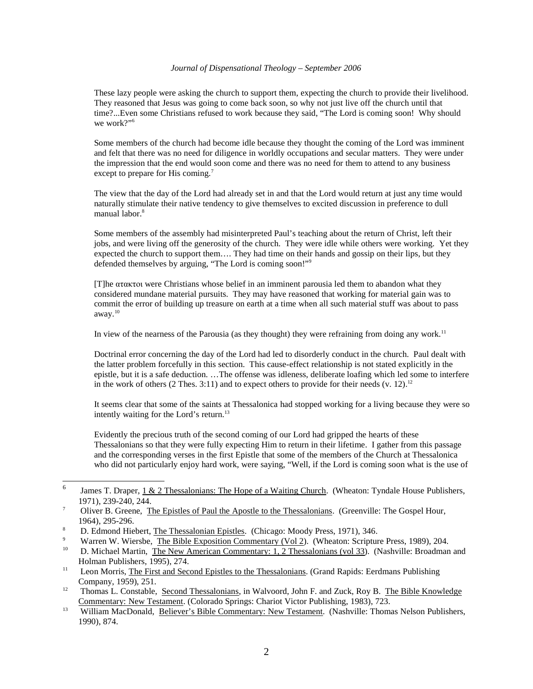These lazy people were asking the church to support them, expecting the church to provide their livelihood. They reasoned that Jesus was going to come back soon, so why not just live off the church until that time?...Even some Christians refused to work because they said, "The Lord is coming soon! Why should we work?"<sup>6</sup>

Some members of the church had become idle because they thought the coming of the Lord was imminent and felt that there was no need for diligence in worldly occupations and secular matters. They were under the impression that the end would soon come and there was no need for them to attend to any business except to prepare for His coming.<sup>7</sup>

The view that the day of the Lord had already set in and that the Lord would return at just any time would naturally stimulate their native tendency to give themselves to excited discussion in preference to dull manual labor.<sup>8</sup>

Some members of the assembly had misinterpreted Paul's teaching about the return of Christ, left their jobs, and were living off the generosity of the church. They were idle while others were working. Yet they expected the church to support them…. They had time on their hands and gossip on their lips, but they defended themselves by arguing, "The Lord is coming soon!"<sup>9</sup>

[T]he ataktoi were Christians whose belief in an imminent parousia led them to abandon what they considered mundane material pursuits. They may have reasoned that working for material gain was to commit the error of building up treasure on earth at a time when all such material stuff was about to pass away.<sup>10</sup>

In view of the nearness of the Parousia (as they thought) they were refraining from doing any work.<sup>11</sup>

Doctrinal error concerning the day of the Lord had led to disorderly conduct in the church. Paul dealt with the latter problem forcefully in this section. This cause-effect relationship is not stated explicitly in the epistle, but it is a safe deduction. …The offense was idleness, deliberate loafing which led some to interfere in the work of others (2 Thes. 3:11) and to expect others to provide for their needs (v. 12).<sup>12</sup>

It seems clear that some of the saints at Thessalonica had stopped working for a living because they were so intently waiting for the Lord's return.<sup>13</sup>

Evidently the precious truth of the second coming of our Lord had gripped the hearts of these Thessalonians so that they were fully expecting Him to return in their lifetime. I gather from this passage and the corresponding verses in the first Epistle that some of the members of the Church at Thessalonica who did not particularly enjoy hard work, were saying, "Well, if the Lord is coming soon what is the use of

9

<sup>6</sup> James T. Draper, 1 & 2 Thessalonians: The Hope of a Waiting Church. (Wheaton: Tyndale House Publishers, 1971), 239-240, 244.

<sup>7</sup> Oliver B. Greene, The Epistles of Paul the Apostle to the Thessalonians. (Greenville: The Gospel Hour, 1964), 295-296.

<sup>8</sup> D. Edmond Hiebert, The Thessalonian Epistles. (Chicago: Moody Press, 1971), 346.

Warren W. Wiersbe, The Bible Exposition Commentary (Vol 2). (Wheaton: Scripture Press, 1989), 204.

<sup>&</sup>lt;sup>10</sup> D. Michael Martin, The New American Commentary: 1, 2 Thessalonians (vol 33). (Nashville: Broadman and Holman Publishers, 1995), 274.

<sup>&</sup>lt;sup>11</sup> Leon Morris, The First and Second Epistles to the Thessalonians. (Grand Rapids: Eerdmans Publishing Company, 1959), 251.

<sup>&</sup>lt;sup>12</sup> Thomas L. Constable, Second Thessalonians, in Walvoord, John F. and Zuck, Roy B. The Bible Knowledge Commentary: New Testament. (Colorado Springs: Chariot Victor Publishing, 1983), 723.

<sup>&</sup>lt;sup>13</sup> William MacDonald, Believer's Bible Commentary: New Testament. (Nashville: Thomas Nelson Publishers, 1990), 874.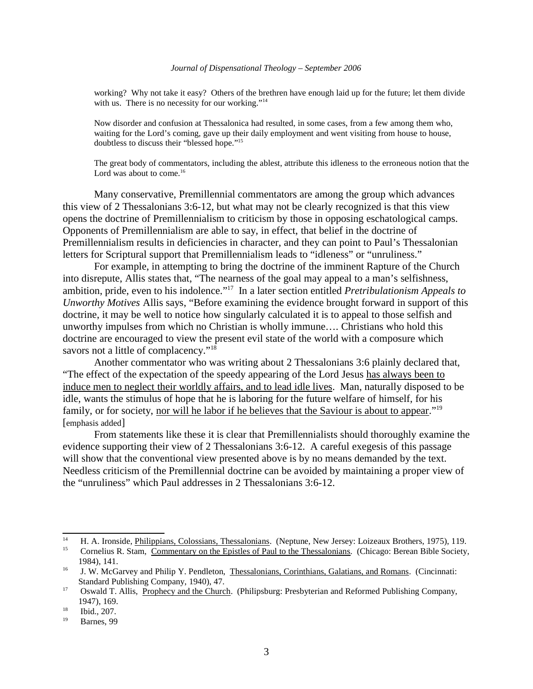working? Why not take it easy? Others of the brethren have enough laid up for the future; let them divide with us. There is no necessity for our working."<sup>14</sup>

Now disorder and confusion at Thessalonica had resulted, in some cases, from a few among them who, waiting for the Lord's coming, gave up their daily employment and went visiting from house to house, doubtless to discuss their "blessed hope."<sup>15</sup>

The great body of commentators, including the ablest, attribute this idleness to the erroneous notion that the Lord was about to come.<sup>16</sup>

Many conservative, Premillennial commentators are among the group which advances this view of 2 Thessalonians 3:6-12, but what may not be clearly recognized is that this view opens the doctrine of Premillennialism to criticism by those in opposing eschatological camps. Opponents of Premillennialism are able to say, in effect, that belief in the doctrine of Premillennialism results in deficiencies in character, and they can point to Paul's Thessalonian letters for Scriptural support that Premillennialism leads to "idleness" or "unruliness."

For example, in attempting to bring the doctrine of the imminent Rapture of the Church into disrepute, Allis states that, "The nearness of the goal may appeal to a man's selfishness, ambition, pride, even to his indolence."<sup>17</sup> In a later section entitled *Pretribulationism Appeals to Unworthy Motives* Allis says, "Before examining the evidence brought forward in support of this doctrine, it may be well to notice how singularly calculated it is to appeal to those selfish and unworthy impulses from which no Christian is wholly immune…. Christians who hold this doctrine are encouraged to view the present evil state of the world with a composure which savors not a little of complacency."<sup>18</sup>

Another commentator who was writing about 2 Thessalonians 3:6 plainly declared that, "The effect of the expectation of the speedy appearing of the Lord Jesus has always been to induce men to neglect their worldly affairs, and to lead idle lives. Man, naturally disposed to be idle, wants the stimulus of hope that he is laboring for the future welfare of himself, for his family, or for society, nor will he labor if he believes that the Saviour is about to appear."<sup>19</sup> [emphasis added]

From statements like these it is clear that Premillennialists should thoroughly examine the evidence supporting their view of 2 Thessalonians 3:6-12. A careful exegesis of this passage will show that the conventional view presented above is by no means demanded by the text. Needless criticism of the Premillennial doctrine can be avoided by maintaining a proper view of the "unruliness" which Paul addresses in 2 Thessalonians 3:6-12.

<sup>&</sup>lt;sup>14</sup> H. A. Ironside, <u>Philippians, Colossians, Thessalonians</u>. (Neptune, New Jersey: Loizeaux Brothers, 1975), 119.

<sup>15</sup> Cornelius R. Stam, Commentary on the Epistles of Paul to the Thessalonians. (Chicago: Berean Bible Society, 1984), 141.

<sup>&</sup>lt;sup>16</sup> J. W. McGarvey and Philip Y. Pendleton, Thessalonians, Corinthians, Galatians, and Romans. (Cincinnati: Standard Publishing Company, 1940), 47.

<sup>&</sup>lt;sup>17</sup> Oswald T. Allis, Prophecy and the Church. (Philipsburg: Presbyterian and Reformed Publishing Company, 1947), 169.

 $18$  Ibid., 207.

Barnes, 99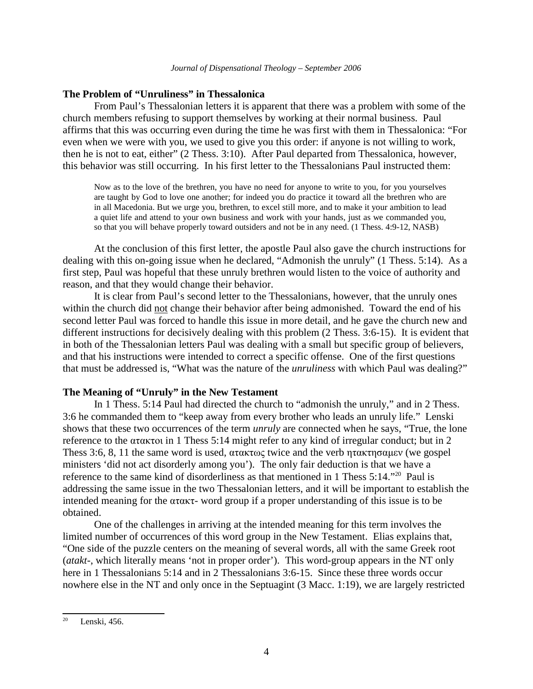# **The Problem of "Unruliness" in Thessalonica**

From Paul's Thessalonian letters it is apparent that there was a problem with some of the church members refusing to support themselves by working at their normal business. Paul affirms that this was occurring even during the time he was first with them in Thessalonica: "For even when we were with you, we used to give you this order: if anyone is not willing to work, then he is not to eat, either" (2 Thess. 3:10). After Paul departed from Thessalonica, however, this behavior was still occurring. In his first letter to the Thessalonians Paul instructed them:

Now as to the love of the brethren, you have no need for anyone to write to you, for you yourselves are taught by God to love one another; for indeed you do practice it toward all the brethren who are in all Macedonia. But we urge you, brethren, to excel still more, and to make it your ambition to lead a quiet life and attend to your own business and work with your hands, just as we commanded you, so that you will behave properly toward outsiders and not be in any need. (1 Thess. 4:9-12, NASB)

At the conclusion of this first letter, the apostle Paul also gave the church instructions for dealing with this on-going issue when he declared, "Admonish the unruly" (1 Thess. 5:14). As a first step, Paul was hopeful that these unruly brethren would listen to the voice of authority and reason, and that they would change their behavior.

It is clear from Paul's second letter to the Thessalonians, however, that the unruly ones within the church did not change their behavior after being admonished. Toward the end of his second letter Paul was forced to handle this issue in more detail, and he gave the church new and different instructions for decisively dealing with this problem (2 Thess. 3:6-15). It is evident that in both of the Thessalonian letters Paul was dealing with a small but specific group of believers, and that his instructions were intended to correct a specific offense. One of the first questions that must be addressed is, "What was the nature of the *unruliness* with which Paul was dealing?"

# **The Meaning of "Unruly" in the New Testament**

In 1 Thess. 5:14 Paul had directed the church to "admonish the unruly," and in 2 Thess. 3:6 he commanded them to "keep away from every brother who leads an unruly life." Lenski shows that these two occurrences of the term *unruly* are connected when he says, "True, the lone reference to the  $\alpha\tau\alpha\kappa\tau\sigma\tau$  in 1 Thess 5:14 might refer to any kind of irregular conduct; but in 2 Thess 3:6, 8, 11 the same word is used,  $\alpha \tau \alpha \kappa \tau \omega \varsigma$  twice and the verb  $\eta \tau \alpha \kappa \tau \eta \sigma \alpha \mu \epsilon v$  (we gospel ministers 'did not act disorderly among you'). The only fair deduction is that we have a reference to the same kind of disorderliness as that mentioned in 1 Thess 5:14."<sup>20</sup> Paul is addressing the same issue in the two Thessalonian letters, and it will be important to establish the intended meaning for the  $\alpha \tau \alpha \kappa \tau$ - word group if a proper understanding of this issue is to be obtained.

One of the challenges in arriving at the intended meaning for this term involves the limited number of occurrences of this word group in the New Testament. Elias explains that, "One side of the puzzle centers on the meaning of several words, all with the same Greek root (*atakt*-, which literally means 'not in proper order'). This word-group appears in the NT only here in 1 Thessalonians 5:14 and in 2 Thessalonians 3:6-15. Since these three words occur nowhere else in the NT and only once in the Septuagint (3 Macc. 1:19), we are largely restricted

 $20$  Lenski, 456.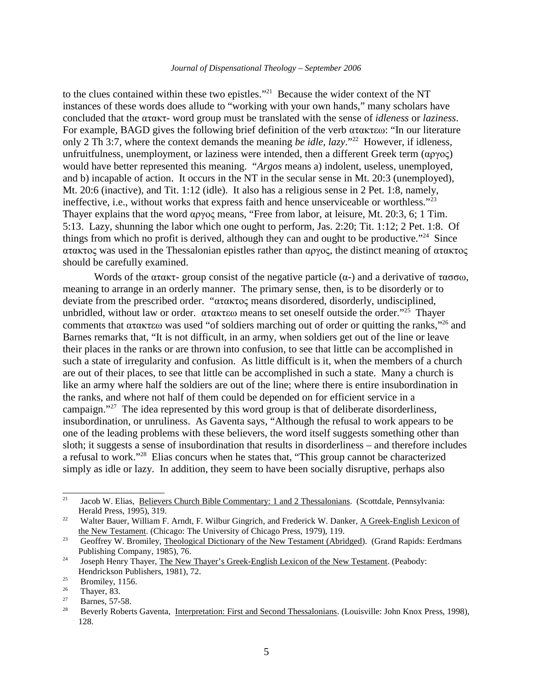to the clues contained within these two epistles."<sup>21</sup> Because the wider context of the NT instances of these words does allude to "working with your own hands," many scholars have concluded that the atakt- word group must be translated with the sense of *idleness* or *laziness*. For example, BAGD gives the following brief definition of the verb  $\alpha\tau\alpha\kappa\tau\epsilon\omega$ : "In our literature only 2 Th 3:7, where the context demands the meaning *be idle, lazy*."<sup>22</sup> However, if idleness, unfruitfulness, unemployment, or laziness were intended, then a different Greek term  $(\alpha \gamma \gamma o \zeta)$ would have better represented this meaning. "*Argos* means a) indolent, useless, unemployed, and b) incapable of action. It occurs in the NT in the secular sense in Mt. 20:3 (unemployed), Mt. 20:6 (inactive), and Tit. 1:12 (idle). It also has a religious sense in 2 Pet. 1:8, namely, ineffective, i.e., without works that express faith and hence unserviceable or worthless."<sup>23</sup> Thayer explains that the word  $\alpha$  pyoc means, "Free from labor, at leisure, Mt. 20:3, 6; 1 Tim. 5:13. Lazy, shunning the labor which one ought to perform, Jas. 2:20; Tit. 1:12; 2 Pet. 1:8. Of things from which no profit is derived, although they can and ought to be productive."<sup>24</sup> Since  $\alpha$ τακτος was used in the Thessalonian epistles rather than  $\alpha$ ργος, the distinct meaning of ατακτος should be carefully examined.

Words of the  $\alpha \tau \alpha \kappa \tau$ - group consist of the negative particle  $(\alpha$ -) and a derivative of  $\tau \alpha \sigma \sigma \omega$ , meaning to arrange in an orderly manner. The primary sense, then, is to be disorderly or to deviate from the prescribed order. " $\alpha \tau \alpha \kappa \tau o \varsigma$  means disordered, disorderly, undisciplined, unbridled, without law or order.  $\alpha \tau \alpha \kappa \tau \epsilon \omega$  means to set oneself outside the order."<sup>25</sup> Thayer comments that  $\alpha\tau\alpha\kappa\tau\epsilon\omega$  was used "of soldiers marching out of order or quitting the ranks,"<sup>26</sup> and Barnes remarks that, "It is not difficult, in an army, when soldiers get out of the line or leave their places in the ranks or are thrown into confusion, to see that little can be accomplished in such a state of irregularity and confusion. As little difficult is it, when the members of a church are out of their places, to see that little can be accomplished in such a state. Many a church is like an army where half the soldiers are out of the line; where there is entire insubordination in the ranks, and where not half of them could be depended on for efficient service in a campaign."<sup>27</sup> The idea represented by this word group is that of deliberate disorderliness, insubordination, or unruliness. As Gaventa says, "Although the refusal to work appears to be one of the leading problems with these believers, the word itself suggests something other than sloth; it suggests a sense of insubordination that results in disorderliness – and therefore includes a refusal to work."<sup>28</sup> Elias concurs when he states that, "This group cannot be characterized simply as idle or lazy. In addition, they seem to have been socially disruptive, perhaps also

<sup>&</sup>lt;sup>21</sup> Jacob W. Elias, Believers Church Bible Commentary: 1 and 2 Thessalonians. (Scottdale, Pennsylvania: Herald Press, 1995), 319.

<sup>&</sup>lt;sup>22</sup> Walter Bauer, William F. Arndt, F. Wilbur Gingrich, and Frederick W. Danker, A Greek-English Lexicon of the New Testament. (Chicago: The University of Chicago Press, 1979), 119.

<sup>&</sup>lt;sup>23</sup> Geoffrey W. Bromiley, Theological Dictionary of the New Testament (Abridged). (Grand Rapids: Eerdmans Publishing Company, 1985), 76.

<sup>&</sup>lt;sup>24</sup> Joseph Henry Thayer, The New Thayer's Greek-English Lexicon of the New Testament. (Peabody: Hendrickson Publishers, 1981), 72.

 $rac{25}{26}$  Bromiley, 1156.

 $\frac{26}{27}$  Thayer, 83.

 $\frac{27}{28}$  Barnes, 57-58.

<sup>28</sup> Beverly Roberts Gaventa, Interpretation: First and Second Thessalonians. (Louisville: John Knox Press, 1998), 128.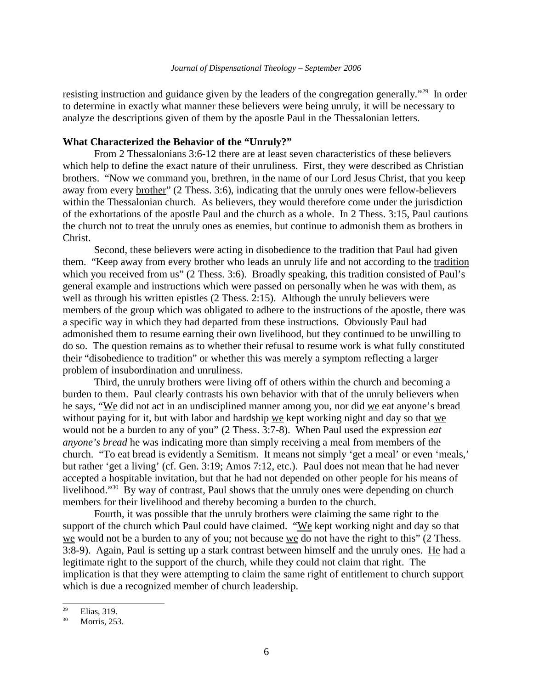resisting instruction and guidance given by the leaders of the congregation generally."<sup>29</sup> In order to determine in exactly what manner these believers were being unruly, it will be necessary to analyze the descriptions given of them by the apostle Paul in the Thessalonian letters.

### **What Characterized the Behavior of the "Unruly?"**

From 2 Thessalonians 3:6-12 there are at least seven characteristics of these believers which help to define the exact nature of their unruliness. First, they were described as Christian brothers. "Now we command you, brethren, in the name of our Lord Jesus Christ, that you keep away from every brother" (2 Thess. 3:6), indicating that the unruly ones were fellow-believers within the Thessalonian church. As believers, they would therefore come under the jurisdiction of the exhortations of the apostle Paul and the church as a whole. In 2 Thess. 3:15, Paul cautions the church not to treat the unruly ones as enemies, but continue to admonish them as brothers in Christ.

Second, these believers were acting in disobedience to the tradition that Paul had given them. "Keep away from every brother who leads an unruly life and not according to the tradition which you received from us" (2 Thess. 3:6). Broadly speaking, this tradition consisted of Paul's general example and instructions which were passed on personally when he was with them, as well as through his written epistles (2 Thess. 2:15). Although the unruly believers were members of the group which was obligated to adhere to the instructions of the apostle, there was a specific way in which they had departed from these instructions. Obviously Paul had admonished them to resume earning their own livelihood, but they continued to be unwilling to do so. The question remains as to whether their refusal to resume work is what fully constituted their "disobedience to tradition" or whether this was merely a symptom reflecting a larger problem of insubordination and unruliness.

Third, the unruly brothers were living off of others within the church and becoming a burden to them. Paul clearly contrasts his own behavior with that of the unruly believers when he says, "We did not act in an undisciplined manner among you, nor did we eat anyone's bread without paying for it, but with labor and hardship we kept working night and day so that we would not be a burden to any of you" (2 Thess. 3:7-8). When Paul used the expression *eat anyone's bread* he was indicating more than simply receiving a meal from members of the church. "To eat bread is evidently a Semitism. It means not simply 'get a meal' or even 'meals,' but rather 'get a living' (cf. Gen. 3:19; Amos 7:12, etc.). Paul does not mean that he had never accepted a hospitable invitation, but that he had not depended on other people for his means of livelihood."<sup>30</sup> By way of contrast, Paul shows that the unruly ones were depending on church members for their livelihood and thereby becoming a burden to the church.

Fourth, it was possible that the unruly brothers were claiming the same right to the support of the church which Paul could have claimed. "We kept working night and day so that we would not be a burden to any of you; not because we do not have the right to this" (2 Thess. 3:8-9). Again, Paul is setting up a stark contrast between himself and the unruly ones. He had a legitimate right to the support of the church, while they could not claim that right. The implication is that they were attempting to claim the same right of entitlement to church support which is due a recognized member of church leadership.

 $rac{29}{30}$  Elias, 319.

Morris, 253.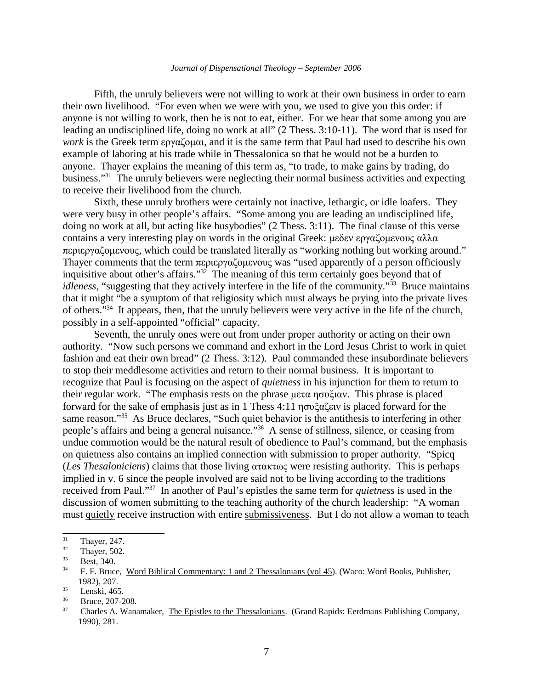Fifth, the unruly believers were not willing to work at their own business in order to earn their own livelihood. "For even when we were with you, we used to give you this order: if anyone is not willing to work, then he is not to eat, either. For we hear that some among you are leading an undisciplined life, doing no work at all" (2 Thess. 3:10-11). The word that is used for *work* is the Greek term  $\epsilon$ <sub>p</sub> $\alpha$ <sup>*z*</sup><sub>p</sub> $\alpha$ <sub>*z*</sub> $\alpha$ <sub>*z*</sub> $\alpha$ *,* and it is the same term that Paul had used to describe his own example of laboring at his trade while in Thessalonica so that he would not be a burden to anyone. Thayer explains the meaning of this term as, "to trade, to make gains by trading, do business."<sup>31</sup> The unruly believers were neglecting their normal business activities and expecting to receive their livelihood from the church.

Sixth, these unruly brothers were certainly not inactive, lethargic, or idle loafers. They were very busy in other people's affairs. "Some among you are leading an undisciplined life, doing no work at all, but acting like busybodies" (2 Thess. 3:11). The final clause of this verse contains a very interesting play on words in the original Greek:  $\mu \delta \epsilon v \epsilon \gamma \alpha \zeta \delta \mu \epsilon v \omega \zeta \alpha \lambda \alpha$  $\pi$ εριεργαζομενους, which could be translated literally as "working nothing but working around." Thayer comments that the term  $\pi$ εριεργαζομενους was "used apparently of a person officiously inquisitive about other's affairs."<sup>32</sup> The meaning of this term certainly goes beyond that of *idleness*, "suggesting that they actively interfere in the life of the community."<sup>33</sup> Bruce maintains that it might "be a symptom of that religiosity which must always be prying into the private lives of others."<sup>34</sup> It appears, then, that the unruly believers were very active in the life of the church, possibly in a self-appointed "official" capacity.

Seventh, the unruly ones were out from under proper authority or acting on their own authority. "Now such persons we command and exhort in the Lord Jesus Christ to work in quiet fashion and eat their own bread" (2 Thess. 3:12). Paul commanded these insubordinate believers to stop their meddlesome activities and return to their normal business. It is important to recognize that Paul is focusing on the aspect of *quietness* in his injunction for them to return to their regular work. "The emphasis rests on the phrase  $\mu \in \mathcal{L}$  mov $\zeta \in \mathcal{L}$ . This phrase is placed forward for the sake of emphasis just as in 1 Thess 4:11  $\eta \sigma v \xi \alpha \xi \epsilon v$  is placed forward for the same reason."<sup>35</sup> As Bruce declares, "Such quiet behavior is the antithesis to interfering in other people's affairs and being a general nuisance."<sup>36</sup> A sense of stillness, silence, or ceasing from undue commotion would be the natural result of obedience to Paul's command, but the emphasis on quietness also contains an implied connection with submission to proper authority. "Spicq (*Les Thesaloniciens*) claims that those living  $\alpha \tau \alpha \kappa \tau \omega \varsigma$  were resisting authority. This is perhaps implied in v. 6 since the people involved are said not to be living according to the traditions received from Paul."<sup>37</sup> In another of Paul's epistles the same term for *quietness* is used in the discussion of women submitting to the teaching authority of the church leadership: "A woman must quietly receive instruction with entire submissiveness. But I do not allow a woman to teach

 $\frac{31}{32}$  Thayer, 247.

 $\frac{32}{33}$  Thayer, 502.

 $33$  Best, 340.

<sup>34</sup> F. F. Bruce, Word Biblical Commentary: 1 and 2 Thessalonians (vol 45). (Waco: Word Books, Publisher, 1982), 207.

 $\frac{35}{36}$  Lenski, 465.

 $36$  Bruce, 207-208.

<sup>37</sup> Charles A. Wanamaker, The Epistles to the Thessalonians. (Grand Rapids: Eerdmans Publishing Company, 1990), 281.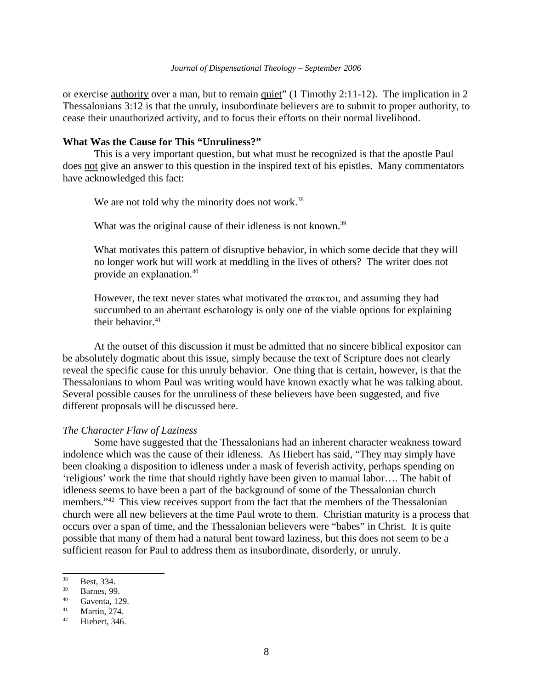or exercise <u>authority</u> over a man, but to remain quiet" (1 Timothy 2:11-12). The implication in 2 Thessalonians 3:12 is that the unruly, insubordinate believers are to submit to proper authority, to cease their unauthorized activity, and to focus their efforts on their normal livelihood.

### **What Was the Cause for This "Unruliness?"**

This is a very important question, but what must be recognized is that the apostle Paul does not give an answer to this question in the inspired text of his epistles. Many commentators have acknowledged this fact:

We are not told why the minority does not work.<sup>38</sup>

What was the original cause of their idleness is not known.<sup>39</sup>

What motivates this pattern of disruptive behavior, in which some decide that they will no longer work but will work at meddling in the lives of others? The writer does not provide an explanation.<sup>40</sup>

However, the text never states what motivated the  $\alpha\tau\alpha\kappa\tau\alpha_1$ , and assuming they had succumbed to an aberrant eschatology is only one of the viable options for explaining their behavior. $41$ 

At the outset of this discussion it must be admitted that no sincere biblical expositor can be absolutely dogmatic about this issue, simply because the text of Scripture does not clearly reveal the specific cause for this unruly behavior. One thing that is certain, however, is that the Thessalonians to whom Paul was writing would have known exactly what he was talking about. Several possible causes for the unruliness of these believers have been suggested, and five different proposals will be discussed here.

### *The Character Flaw of Laziness*

Some have suggested that the Thessalonians had an inherent character weakness toward indolence which was the cause of their idleness. As Hiebert has said, "They may simply have been cloaking a disposition to idleness under a mask of feverish activity, perhaps spending on 'religious' work the time that should rightly have been given to manual labor…. The habit of idleness seems to have been a part of the background of some of the Thessalonian church members."<sup>42</sup> This view receives support from the fact that the members of the Thessalonian church were all new believers at the time Paul wrote to them. Christian maturity is a process that occurs over a span of time, and the Thessalonian believers were "babes" in Christ. It is quite possible that many of them had a natural bent toward laziness, but this does not seem to be a sufficient reason for Paul to address them as insubordinate, disorderly, or unruly.

 $38$  Best, 334.

 $\frac{39}{40}$  Barnes, 99.

 $^{40}$  Gaventa, 129.

 $41$  Martin, 274.

Hiebert, 346.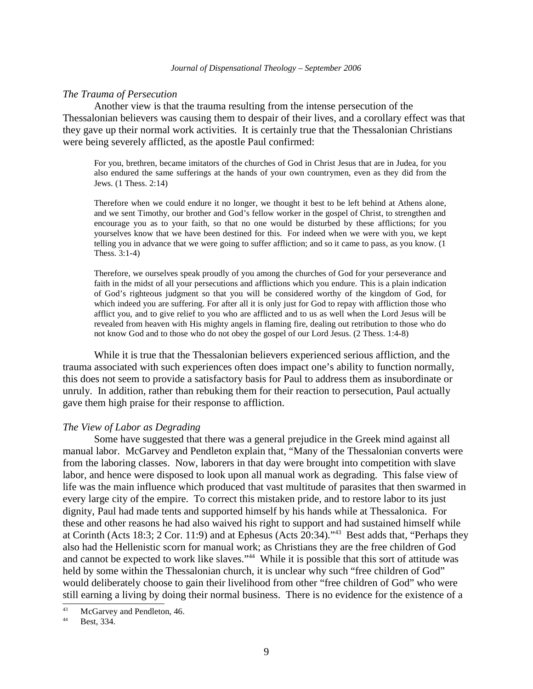### *The Trauma of Persecution*

Another view is that the trauma resulting from the intense persecution of the Thessalonian believers was causing them to despair of their lives, and a corollary effect was that they gave up their normal work activities. It is certainly true that the Thessalonian Christians were being severely afflicted, as the apostle Paul confirmed:

For you, brethren, became imitators of the churches of God in Christ Jesus that are in Judea, for you also endured the same sufferings at the hands of your own countrymen, even as they did from the Jews. (1 Thess. 2:14)

Therefore when we could endure it no longer, we thought it best to be left behind at Athens alone, and we sent Timothy, our brother and God's fellow worker in the gospel of Christ, to strengthen and encourage you as to your faith, so that no one would be disturbed by these afflictions; for you yourselves know that we have been destined for this. For indeed when we were with you, we kept telling you in advance that we were going to suffer affliction; and so it came to pass, as you know. (1 Thess. 3:1-4)

Therefore, we ourselves speak proudly of you among the churches of God for your perseverance and faith in the midst of all your persecutions and afflictions which you endure. This is a plain indication of God's righteous judgment so that you will be considered worthy of the kingdom of God, for which indeed you are suffering. For after all it is only just for God to repay with affliction those who afflict you, and to give relief to you who are afflicted and to us as well when the Lord Jesus will be revealed from heaven with His mighty angels in flaming fire, dealing out retribution to those who do not know God and to those who do not obey the gospel of our Lord Jesus. (2 Thess. 1:4-8)

While it is true that the Thessalonian believers experienced serious affliction, and the trauma associated with such experiences often does impact one's ability to function normally, this does not seem to provide a satisfactory basis for Paul to address them as insubordinate or unruly. In addition, rather than rebuking them for their reaction to persecution, Paul actually gave them high praise for their response to affliction.

### *The View of Labor as Degrading*

Some have suggested that there was a general prejudice in the Greek mind against all manual labor. McGarvey and Pendleton explain that, "Many of the Thessalonian converts were from the laboring classes. Now, laborers in that day were brought into competition with slave labor, and hence were disposed to look upon all manual work as degrading. This false view of life was the main influence which produced that vast multitude of parasites that then swarmed in every large city of the empire. To correct this mistaken pride, and to restore labor to its just dignity, Paul had made tents and supported himself by his hands while at Thessalonica. For these and other reasons he had also waived his right to support and had sustained himself while at Corinth (Acts 18:3; 2 Cor. 11:9) and at Ephesus (Acts 20:34)."<sup>43</sup> Best adds that, "Perhaps they also had the Hellenistic scorn for manual work; as Christians they are the free children of God and cannot be expected to work like slaves."<sup>44</sup> While it is possible that this sort of attitude was held by some within the Thessalonian church, it is unclear why such "free children of God" would deliberately choose to gain their livelihood from other "free children of God" who were still earning a living by doing their normal business. There is no evidence for the existence of a

 $^{43}$  McGarvey and Pendleton, 46.

Best, 334.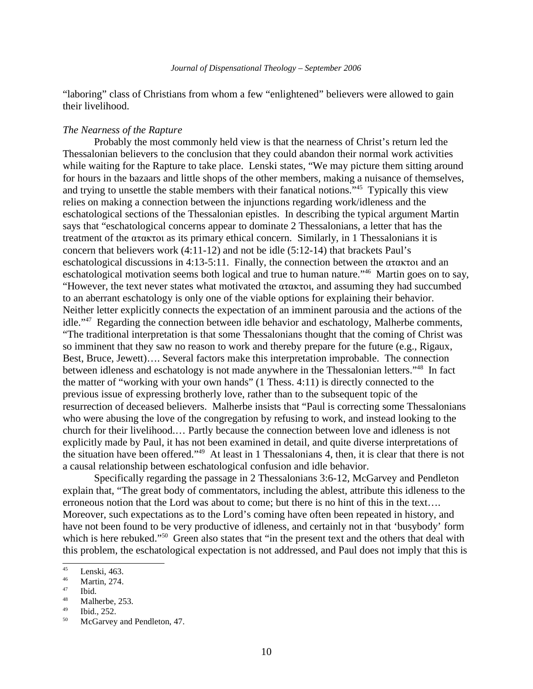"laboring" class of Christians from whom a few "enlightened" believers were allowed to gain their livelihood.

# *The Nearness of the Rapture*

Probably the most commonly held view is that the nearness of Christ's return led the Thessalonian believers to the conclusion that they could abandon their normal work activities while waiting for the Rapture to take place. Lenski states, "We may picture them sitting around for hours in the bazaars and little shops of the other members, making a nuisance of themselves, and trying to unsettle the stable members with their fanatical notions."<sup>45</sup> Typically this view relies on making a connection between the injunctions regarding work/idleness and the eschatological sections of the Thessalonian epistles. In describing the typical argument Martin says that "eschatological concerns appear to dominate 2 Thessalonians, a letter that has the treatment of the  $\alpha\tau\alpha\kappa\tau\sigma\sigma$  as its primary ethical concern. Similarly, in 1 Thessalonians it is concern that believers work  $(4:11-12)$  and not be idle  $(5:12-14)$  that brackets Paul's eschatological discussions in 4:13-5:11. Finally, the connection between the  $\alpha\tau\alpha\kappa\tau\sigma\iota$  and an eschatological motivation seems both logical and true to human nature."<sup>46</sup> Martin goes on to say, "However, the text never states what motivated the  $\alpha\tau\alpha\kappa\tau\omega$ , and assuming they had succumbed to an aberrant eschatology is only one of the viable options for explaining their behavior. Neither letter explicitly connects the expectation of an imminent parousia and the actions of the idle."<sup>47</sup> Regarding the connection between idle behavior and eschatology, Malherbe comments, "The traditional interpretation is that some Thessalonians thought that the coming of Christ was so imminent that they saw no reason to work and thereby prepare for the future (e.g., Rigaux, Best, Bruce, Jewett)…. Several factors make this interpretation improbable. The connection between idleness and eschatology is not made anywhere in the Thessalonian letters."<sup>48</sup> In fact the matter of "working with your own hands" (1 Thess. 4:11) is directly connected to the previous issue of expressing brotherly love, rather than to the subsequent topic of the resurrection of deceased believers. Malherbe insists that "Paul is correcting some Thessalonians who were abusing the love of the congregation by refusing to work, and instead looking to the church for their livelihood.… Partly because the connection between love and idleness is not explicitly made by Paul, it has not been examined in detail, and quite diverse interpretations of the situation have been offered."<sup>49</sup> At least in 1 Thessalonians 4, then, it is clear that there is not a causal relationship between eschatological confusion and idle behavior.

Specifically regarding the passage in 2 Thessalonians 3:6-12, McGarvey and Pendleton explain that, "The great body of commentators, including the ablest, attribute this idleness to the erroneous notion that the Lord was about to come; but there is no hint of this in the text…. Moreover, such expectations as to the Lord's coming have often been repeated in history, and have not been found to be very productive of idleness, and certainly not in that 'busybody' form which is here rebuked."<sup>50</sup> Green also states that "in the present text and the others that deal with this problem, the eschatological expectation is not addressed, and Paul does not imply that this is

 $\frac{45}{46}$  Lenski, 463.

 $^{46}$  Martin, 274.

 $^{47}$  Ibid.

<sup>&</sup>lt;sup>48</sup> Malherbe, 253.

Ibid., 252.

<sup>&</sup>lt;sup>50</sup> McGarvey and Pendleton, 47.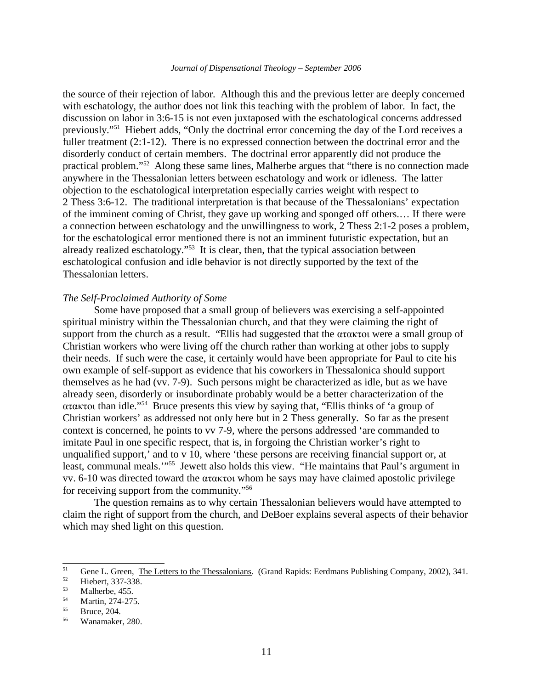the source of their rejection of labor. Although this and the previous letter are deeply concerned with eschatology, the author does not link this teaching with the problem of labor. In fact, the discussion on labor in 3:6-15 is not even juxtaposed with the eschatological concerns addressed previously."<sup>51</sup> Hiebert adds, "Only the doctrinal error concerning the day of the Lord receives a fuller treatment (2:1-12). There is no expressed connection between the doctrinal error and the disorderly conduct of certain members. The doctrinal error apparently did not produce the practical problem."<sup>52</sup> Along these same lines, Malherbe argues that "there is no connection made anywhere in the Thessalonian letters between eschatology and work or idleness. The latter objection to the eschatological interpretation especially carries weight with respect to 2 Thess 3:6-12. The traditional interpretation is that because of the Thessalonians' expectation of the imminent coming of Christ, they gave up working and sponged off others.… If there were a connection between eschatology and the unwillingness to work, 2 Thess 2:1-2 poses a problem, for the eschatological error mentioned there is not an imminent futuristic expectation, but an already realized eschatology."<sup>53</sup> It is clear, then, that the typical association between eschatological confusion and idle behavior is not directly supported by the text of the Thessalonian letters.

# *The Self-Proclaimed Authority of Some*

Some have proposed that a small group of believers was exercising a self-appointed spiritual ministry within the Thessalonian church, and that they were claiming the right of support from the church as a result. "Ellis had suggested that the  $\alpha\tau\alpha\kappa\tau\alpha$  were a small group of Christian workers who were living off the church rather than working at other jobs to supply their needs. If such were the case, it certainly would have been appropriate for Paul to cite his own example of self-support as evidence that his coworkers in Thessalonica should support themselves as he had (vv. 7-9). Such persons might be characterized as idle, but as we have already seen, disorderly or insubordinate probably would be a better characterization of the ataktoi than idle."<sup>54</sup> Bruce presents this view by saying that, "Ellis thinks of 'a group of Christian workers' as addressed not only here but in 2 Thess generally. So far as the present context is concerned, he points to vv 7-9, where the persons addressed 'are commanded to imitate Paul in one specific respect, that is, in forgoing the Christian worker's right to unqualified support,' and to v 10, where 'these persons are receiving financial support or, at least, communal meals."<sup>55</sup> Jewett also holds this view. "He maintains that Paul's argument in vv. 6-10 was directed toward the ataktoi whom he says may have claimed apostolic privilege for receiving support from the community."<sup>56</sup>

The question remains as to why certain Thessalonian believers would have attempted to claim the right of support from the church, and DeBoer explains several aspects of their behavior which may shed light on this question.

<sup>&</sup>lt;sup>51</sup> Gene L. Green, <u>The Letters to the Thessalonians</u>. (Grand Rapids: Eerdmans Publishing Company, 2002), 341.

 $5^{\frac{52}{3}}$  Hiebert, 337-338.

 $53$  Malherbe, 455.

 $\frac{54}{55}$  Martin, 274-275.

Bruce, 204.

<sup>56</sup> Wanamaker, 280.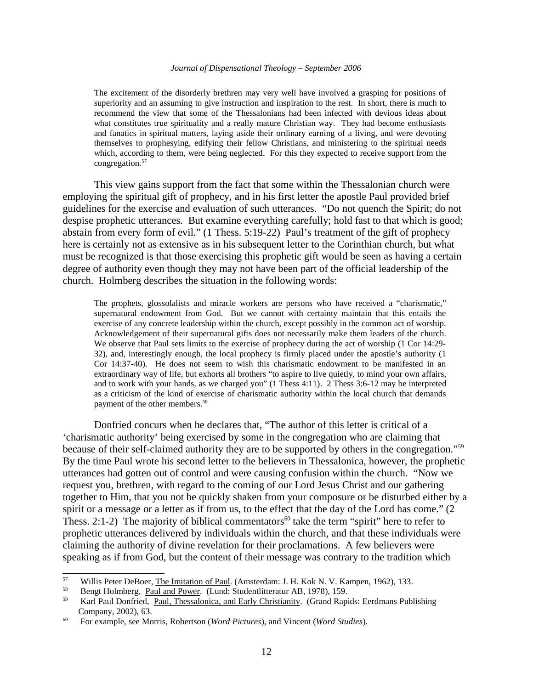The excitement of the disorderly brethren may very well have involved a grasping for positions of superiority and an assuming to give instruction and inspiration to the rest. In short, there is much to recommend the view that some of the Thessalonians had been infected with devious ideas about what constitutes true spirituality and a really mature Christian way. They had become enthusiasts and fanatics in spiritual matters, laying aside their ordinary earning of a living, and were devoting themselves to prophesying, edifying their fellow Christians, and ministering to the spiritual needs which, according to them, were being neglected. For this they expected to receive support from the congregation.<sup>57</sup>

This view gains support from the fact that some within the Thessalonian church were employing the spiritual gift of prophecy, and in his first letter the apostle Paul provided brief guidelines for the exercise and evaluation of such utterances. "Do not quench the Spirit; do not despise prophetic utterances. But examine everything carefully; hold fast to that which is good; abstain from every form of evil." (1 Thess. 5:19-22) Paul's treatment of the gift of prophecy here is certainly not as extensive as in his subsequent letter to the Corinthian church, but what must be recognized is that those exercising this prophetic gift would be seen as having a certain degree of authority even though they may not have been part of the official leadership of the church. Holmberg describes the situation in the following words:

The prophets, glossolalists and miracle workers are persons who have received a "charismatic," supernatural endowment from God. But we cannot with certainty maintain that this entails the exercise of any concrete leadership within the church, except possibly in the common act of worship. Acknowledgement of their supernatural gifts does not necessarily make them leaders of the church. We observe that Paul sets limits to the exercise of prophecy during the act of worship (1 Cor 14:29- 32), and, interestingly enough, the local prophecy is firmly placed under the apostle's authority (1 Cor 14:37-40). He does not seem to wish this charismatic endowment to be manifested in an extraordinary way of life, but exhorts all brothers "to aspire to live quietly, to mind your own affairs, and to work with your hands, as we charged you" (1 Thess 4:11). 2 Thess 3:6-12 may be interpreted as a criticism of the kind of exercise of charismatic authority within the local church that demands payment of the other members.<sup>58</sup>

Donfried concurs when he declares that, "The author of this letter is critical of a 'charismatic authority' being exercised by some in the congregation who are claiming that because of their self-claimed authority they are to be supported by others in the congregation."<sup>59</sup> By the time Paul wrote his second letter to the believers in Thessalonica, however, the prophetic utterances had gotten out of control and were causing confusion within the church. "Now we request you, brethren, with regard to the coming of our Lord Jesus Christ and our gathering together to Him, that you not be quickly shaken from your composure or be disturbed either by a spirit or a message or a letter as if from us, to the effect that the day of the Lord has come." (2) Thess. 2:1-2) The majority of biblical commentators<sup>60</sup> take the term "spirit" here to refer to prophetic utterances delivered by individuals within the church, and that these individuals were claiming the authority of divine revelation for their proclamations. A few believers were speaking as if from God, but the content of their message was contrary to the tradition which

<sup>&</sup>lt;sup>57</sup> Willis Peter DeBoer, <u>The Imitation of Paul</u>. (Amsterdam: J. H. Kok N. V. Kampen, 1962), 133.<br><sup>58</sup> Bongt Holmberg, Paul and Power. (Lund: Studentlitteratur, A.B. 1978), 159.

<sup>&</sup>lt;sup>58</sup> Bengt Holmberg, <u>Paul and Power</u>. (Lund: Studentlitteratur AB, 1978), 159.<br><sup>59</sup> Kerl Paul Donfried, Paul Thesselonice, and Early Christianity. (Grand Papi

<sup>59</sup> Karl Paul Donfried, Paul, Thessalonica, and Early Christianity. (Grand Rapids: Eerdmans Publishing Company, 2002), 63.

<sup>60</sup> For example, see Morris, Robertson (*Word Pictures*), and Vincent (*Word Studies*).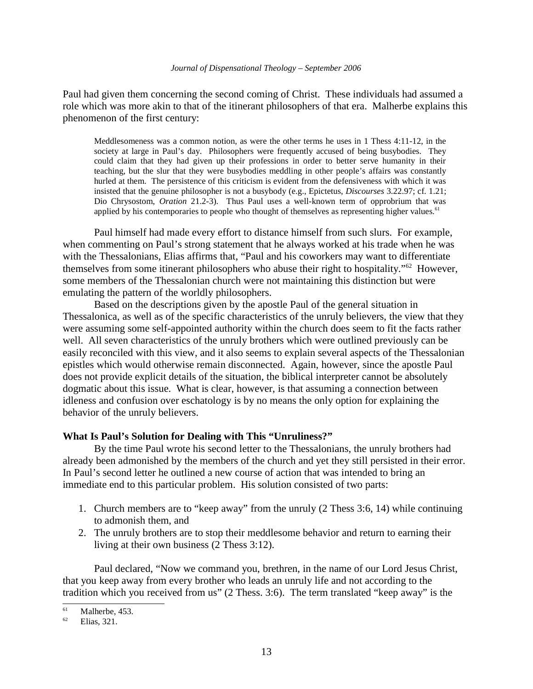Paul had given them concerning the second coming of Christ. These individuals had assumed a role which was more akin to that of the itinerant philosophers of that era. Malherbe explains this phenomenon of the first century:

Meddlesomeness was a common notion, as were the other terms he uses in 1 Thess 4:11-12, in the society at large in Paul's day. Philosophers were frequently accused of being busybodies. They could claim that they had given up their professions in order to better serve humanity in their teaching, but the slur that they were busybodies meddling in other people's affairs was constantly hurled at them. The persistence of this criticism is evident from the defensiveness with which it was insisted that the genuine philosopher is not a busybody (e.g., Epictetus, *Discourses* 3.22.97; cf. 1.21; Dio Chrysostom, *Oration* 21.2-3). Thus Paul uses a well-known term of opprobrium that was applied by his contemporaries to people who thought of themselves as representing higher values.<sup>61</sup>

Paul himself had made every effort to distance himself from such slurs. For example, when commenting on Paul's strong statement that he always worked at his trade when he was with the Thessalonians, Elias affirms that, "Paul and his coworkers may want to differentiate themselves from some itinerant philosophers who abuse their right to hospitality."<sup>62</sup> However, some members of the Thessalonian church were not maintaining this distinction but were emulating the pattern of the worldly philosophers.

Based on the descriptions given by the apostle Paul of the general situation in Thessalonica, as well as of the specific characteristics of the unruly believers, the view that they were assuming some self-appointed authority within the church does seem to fit the facts rather well. All seven characteristics of the unruly brothers which were outlined previously can be easily reconciled with this view, and it also seems to explain several aspects of the Thessalonian epistles which would otherwise remain disconnected. Again, however, since the apostle Paul does not provide explicit details of the situation, the biblical interpreter cannot be absolutely dogmatic about this issue. What is clear, however, is that assuming a connection between idleness and confusion over eschatology is by no means the only option for explaining the behavior of the unruly believers.

### **What Is Paul's Solution for Dealing with This "Unruliness?"**

By the time Paul wrote his second letter to the Thessalonians, the unruly brothers had already been admonished by the members of the church and yet they still persisted in their error. In Paul's second letter he outlined a new course of action that was intended to bring an immediate end to this particular problem. His solution consisted of two parts:

- 1. Church members are to "keep away" from the unruly (2 Thess 3:6, 14) while continuing to admonish them, and
- 2. The unruly brothers are to stop their meddlesome behavior and return to earning their living at their own business (2 Thess 3:12).

Paul declared, "Now we command you, brethren, in the name of our Lord Jesus Christ, that you keep away from every brother who leads an unruly life and not according to the tradition which you received from us" (2 Thess. 3:6). The term translated "keep away" is the

 $^{61}$  Malherbe, 453.

Elias, 321.